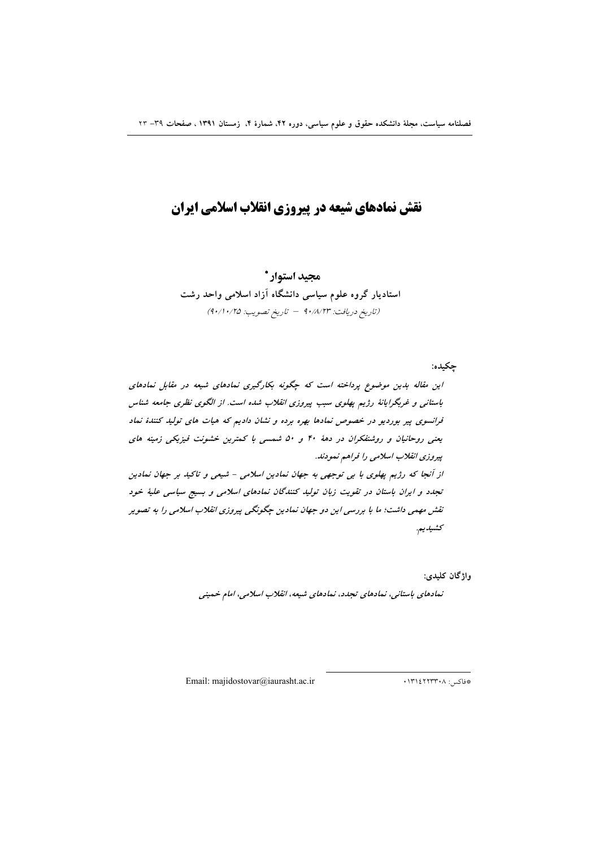# نقش نمادهای شیعه در پیروزی انقلاب اسلامی ایران

مجيد استوار \* استادیار گروه علوم سیاسی دانشگاه آزاد اسلامی واحد رشت (تاريخ دريافت: ٩٠/٨/٢٣ - تاريخ تصويب: ٩٠/١٠/٢٥)

چکیده:

واژگان كليدى:

نمادهای باستانی، نمادهای تجدد، نمادهای شیعه، انقلاب اسلامی، امام خمینی

Email: majidostovar@iaurasht.ac.ir

#فاكس: ١٣١٤٢٢٣٣٠٨.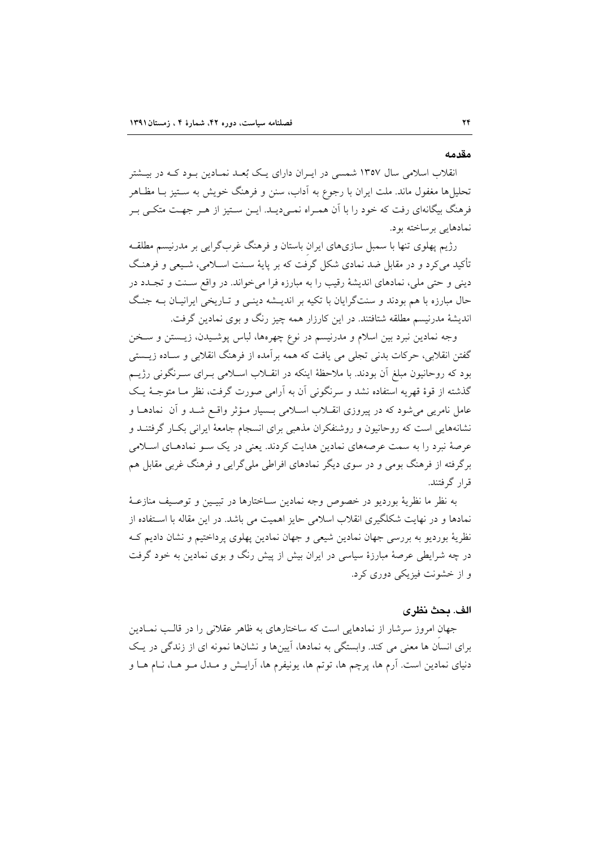#### مقدمه

انقلاب اسلامی سال ۱۳۵۷ شمسی در ایـران دارای یـک بُعـد نمـادین بـود کـه در بیـشتر تحلیلها مغفول ماند. ملت ایران با رجوع به آداب، سنن و فرهنگ خویش به سـتیز بــا مظـاهر فرهنگ بیگانهای رفت که خود را با آن همـراه نمـیدیـد. ایـن سـتیز از هـر جهـت متکـی بـر نمادهایی برساخته بود.

رژیم پهلوی تنها با سمبل سازیهای ایران باستان و فرهنگ غربگرایی بر مدرنیسم مطلقـه تأکید میکرد و در مقابل ضد نمادی شکل گرفت که بر پایهٔ سـنت اسـلامی، شـیعی و فرهنـگ دینی و حتی ملی، نمادهای اندیشهٔ رقیب را به مبارزه فرا می خواند. در واقع سـنت و تجـدد در حال مبارزه با هم بودند و سنتگرایان با تکیه بر اندیـشه دینـی و تـاریخی ایرانیـان بــه جنـگ اندیشهٔ مدرنیسم مطلقه شتافتند. در این کارزار همه چیز رنگ و بوی نمادین گرفت.

وجه نمادین نبرد بین اسلام و مدرنیسم در نوع چهرهها، لباس پوشـیدن، زیـستن و سـخن گفتن انقلابی، حرکات بدنی تجلی می یافت که همه برآمده از فرهنگ انقلابی و سـاده زیــستی بود که روحانیون مبلغ اّن بودند. با ملاحظهٔ اینکه در انقــلاب اســلامی بــرای ســرنگونی رژیــم گذشته از قوهٔ قهریه استفاده نشد و سرنگونی آن به آرامی صورت گرفت، نظر مـا متوجـهٔ یـک عامل نامریی می شود که در پیروزی انقــلاب اســلامی بــسیار مــؤثر واقــع شــد و آن نمادهــا و نشانههایی است که روحانیون و روشنفکران مذهبی برای انسجام جامعهٔ ایرانی بکـار گرفتنــد و عرصهٔ نبرد را به سمت عرصههای نمادین هدایت کردند. یعنی در یک سـو نمادهـای اسـلامی برگرفته از فرهنگ بومی و در سوی دیگر نمادهای افراطی ملیگرایی و فرهنگ غربی مقابل هم قرار گرفتند.

به نظر ما نظريهٔ بورديو در خصوص وجه نمادين سـاختارها در تبيـين و توصـيف منازعـهٔ نمادها و در نهایت شکلگیری انقلاب اسلامی حایز اهمیت می باشد. در این مقاله با استفاده از نظريهٔ بورديو به بررسي جهان نمادين شيعي و جهان نمادين يهلوي پرداختيم و نشان داديم ك در چه شرایطی عرصهٔ مبارزهٔ سیاسی در ایران بیش از پیش رنگ و بوی نمادین به خود گرفت و از خشونت فيزيکي دوري کړ د.

## الف. محث نظري

جهان امروز سرشار از نمادهایی است که ساختارهای به ظاهر عقلانی را در قالب نمـادین برای انسان ها معنی می کند. وابستگی به نمادها، آیینها و نشانها نمونه ای از زندگی در یک دنیای نمادین است. آرم ها، پرچم ها، توتم ها، پونیفرم ها، آرایــش و مــدل مــو هــا، نــام هــا و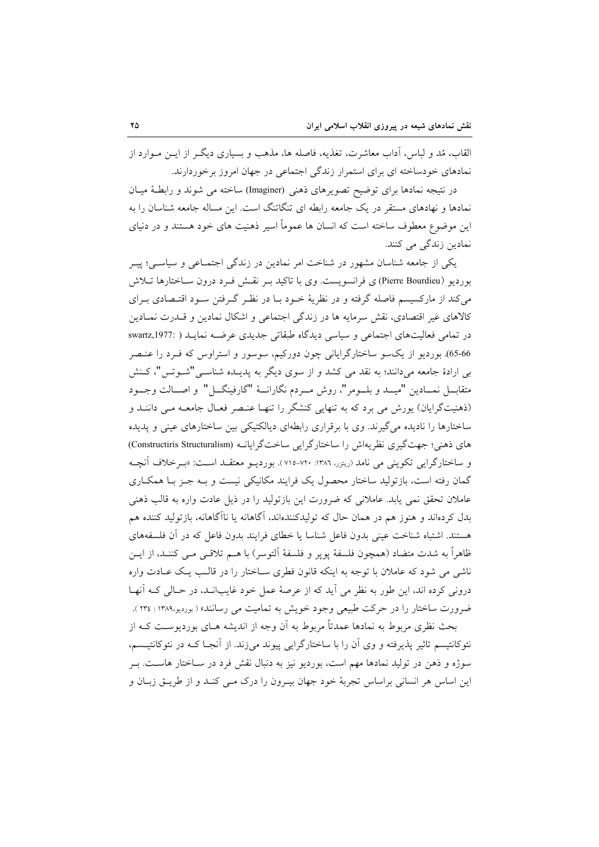القاب، مُد و لباس، اَداب معاشرت، تغذیه، فاصله ها، مذهب و بسیاری دیگـر از ایــن مــوارد از نمادهای خودساخته ای برای استمرار زندگی اجتماعی در جهان امروز برخوردارند.

در نتیجه نمادها برای توضیح تصویرهای ذهنی (Imaginer) ساخته می شوند و رابطهٔ میـان نمادها و نهادهای مستقر در یک جامعه رابطه ای تنگاتنگ است. این مساله جامعه شناسان را به این موضوع معطوف ساخته است که انسان ها عموماً اسیر ذهنیت های خود هستند و در دنیای نمادین زندگی می کنند.

یکی از جامعه شناسان مشهور در شناخت امر نمادین در زندگی اجتمـاعی و سیاسـی؛ پیــر بورديو (Pierre Bourdieu) ي فرانسويست. وي با تاكيد بـر نقــش فـرد درون ســاختارها تــلاش می کند از مارکسیسم فاصله گرفته و در نظریهٔ خــود بــا در نظـر گــرفتن ســود اقتــصادی بــرای كالاهاى غير اقتصادى، نقش سرمايه ها در زندگى اجتماعى و اشكال نمادين و قــدرت نمــادين در تمامی فعالیتهای اجتماعی و سیاسی دیدگاه طبقاتی جدیدی عرضـه نمایـد ( :swartz,1977 65-66). بوردیو از یکسو ساختارگرایانی چون دورکیم، سوسور و استراوس که فـرد را عنـصر بی ارادهٔ جامعه میدانند؛ به نقد می کشد و از سوی دیگر به پدیـده شناسـی"شـوتس"، کـنش متقابـــل نمـــادين "ميـــد و بلـــومر"، روش مـــردم نگارانـــهٔ "گارفينگـــل" و اصـــالت وجـــود (ذهنیتگرایان) یورش می برد که به تنهایی کنشگر را تنهـا عنـصر فعـال جامعـه مـی داننـد و ساختارها را نادیده می گیرند. وی با برقراری رابطهای دیالکتیکی بین ساختارهای عینی و پدیده های ذهنی؛ جهت گیری نظریهاش را ساختارگرایی ساختگرایانـه (Constructiris Structuralism) و ساختارگرايي تكويني مي نامد (ريترر، ١٣٨٦: ٧٢٠-٧١٥). بورديــو معتقــد اســت: «بــرخلاف آنچــه گمان رفته است، بازتولید ساختار محصول یک فرایند مکانیکی نیست و بـه جـز بـا همکـاری عاملان تحقق نمی یابد. عاملانی که ضرورت این بازتولید را در ذیل عادت واره به قالب ذهنی بدل کردهاند و هنوز هم در همان حال که تولیدکنندهاند، آگاهانه یا ناآگاهانه، بازتولید کننده هم هستند. اشتباه شناخت عینی بدون فاعل شناسا یا خطای فرایند بدون فاعل که در آن فلسفههای ظاهراً به شدت متضاد (همچون فلسفهٔ پوپر و فلسفهٔ اَلتوسر) با هــم تلاقــی مــی کننــد، از ایــن ناشی می شود که عاملان با توجه به اینکه قانون فطری سـاختار را در قالـب یـک عـادت واره درونی کرده اند، این طور به نظر می آید که از عرصهٔ عمل خود غایبانـد، در حـالی کـه آنهـا ضرورت ساختار را در حرکت طبیعی وجود خویش به تمامیت می رسانند» ( بوردیو،۱۳۸۹ : ۲۳٤ ). بحث نظری مربوط به نمادها عمدتاً مربوط به اَن وجه از اندیشه هـای بوردیوسـت کـه از

نئوکانتیسم تاثیر پذیرفته و وی آن را با ساختارگرایی پیوند می;زند. از آنجـا کــه در نئوکانتیــسم، سوژه و ذهن در تولید نمادها مهم است، بوردیو نیز به دنبال نقش فرد در سـاختار هاسـت. بـر این اساس هر انسانی براساس تجربهٔ خود جهان بیـرون را درک مـی کنـد و از طریـق زبـان و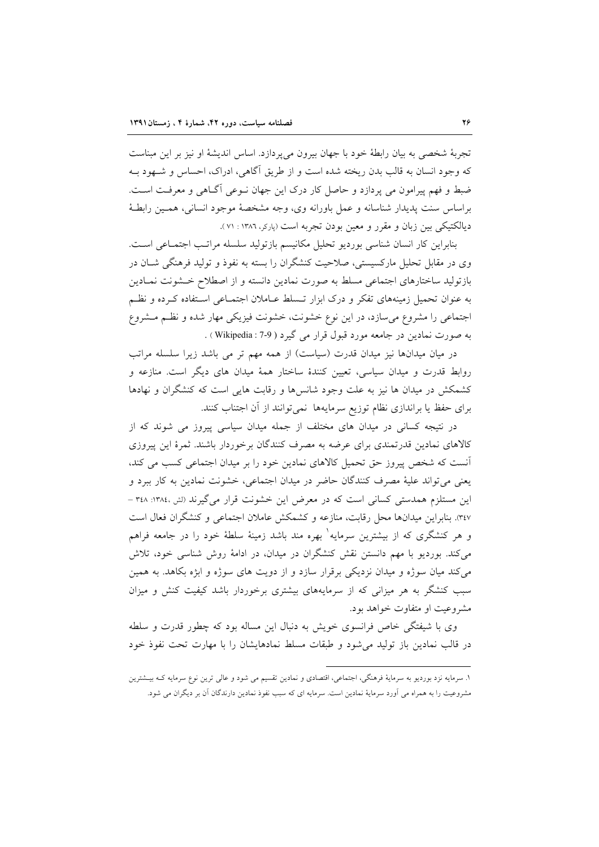تجربهٔ شخصی به بیان رابطهٔ خود با جهان بیرون می پردازد. اساس اندیشهٔ او نیز بر این مبناست که وجود انسان به قالب بدن ریخته شده است و از طریق آگاهی، ادراک، احساس و شـهود بـه ضبط و فهم پیرامون می پردازد و حاصل کار درک این جهان نـوعی آگـاهی و معرفـت اسـت. براساس سنت پديدار شناسانه و عمل باورانه وي، وجه مشخصهٔ موجود انساني، همـين رابطـهٔ دیالکتیکی بین زبان و مقرر و معین بودن تجربه است (پارکر، ۱۳۸۶ : ۷۱).

بنابراين كار انسان شناسي بورديو تحليل مكانيسم بازتوليد سلسله مراتب اجتمـاعي اسـت. وی در مقابل تحلیل مارکسیستی، صلاحیت کنشگران را بسته به نفوذ و تولید فرهنگی شــان در بازتولید ساختارهای اجتماعی مسلط به صورت نمادین دانسته و از اصطلاح خـشونت نمـادین به عنوان تحمیل زمینههای تفکر و درک ابزار تـسلط عـاملان اجتمـاعی اسـتفاده کـرده و نظـم اجتماعی را مشروع میسازد، در این نوع خشونت، خشونت فیزیکی مهار شده و نظم مشروع به صورت نمادين در جامعه مورد قبول قرار مي گيرد ( Wikipedia : 7-9 ) .

در میان میدانها نیز میدان قدرت (سیاست) از همه مهم تر می باشد زیرا سلسله مراتب روابط قدرت و میدان سیاسی، تعیین کنندهٔ ساختار همهٔ میدان های دیگر است. منازعه و کشمکش در میدان ها نیز به علت وجود شانسها و رقابت هایی است که کنشگران و نهادها برای حفظ یا براندازی نظام توزیع سرمایهها نمیتوانند از آن اجتناب کنند.

در نتیجه کسانی در میدان های مختلف از جمله میدان سیاسی پیروز می شوند که از کالاهای نمادین قدرتمندی برای عرضه به مصرف کنندگان برخوردار باشند. ثمرهٔ این پیروزی أنست كه شخص پيروز حق تحميل كالاهاى نمادين خود را بر ميدان اجتماعي كسب مي كند، يعني مي تواند عليهٔ مصرف كنندگان حاضر در ميدان اجتماعي، خشونت نمادين به كار ببرد و این مستلزم همدستی کسانی است که در معرض این خشونت قرار میگیرند (لش ،۱۳۸٤: ۳٤۸ – ٣٤٧). بنابراین میدانها محل رقابت، منازعه و کشمکش عاملان اجتماعی و کنشگران فعال است و هر کنشگری که از بیشترین سرمایه ٰ بهره مند باشد زمینهٔ سلطهٔ خود را در جامعه فراهم می کند. بوردیو با مهم دانستن نقش کنشگران در میدان، در ادامهٔ روش شناسی خود، تلاش می کند میان سوژه و میدان نزدیکی برقرار سازد و از دویت های سوژه و ابژه بکاهد. به همین سبب کنشگر به هر میزانی که از سرمایههای بیشتری برخوردار باشد کیفیت کنش و میزان مشروعیت او متفاوت خواهد بود.

وی با شیفتگی خاص فرانسوی خویش به دنبال این مساله بود که چطور قدرت و سلطه در قالب نمادین باز تولید می شود و طبقات مسلط نمادهایشان را با مهارت تحت نفوذ خود

۱. سرمایه نزد بوردیو به سرمایهٔ فرهنگی، اجتماعی، اقتصادی و نمادین تقسیم می شود و عالی ترین نوع سرمایه کــه بیــشترین مشروعیت را به همراه می آورد سرمایهٔ نمادین است. سرمایه ای که سبب نفوذ نمادین دارندگان آن بر دیگران می شود.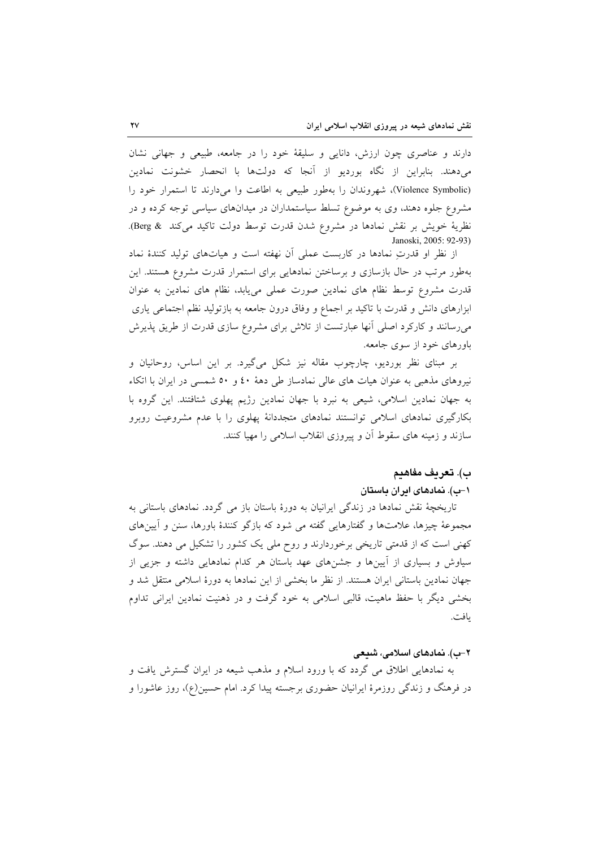دارند و عناصری چون ارزش، دانایی و سلیقهٔ خود را در جامعه، طبیعی و جهانی نشان می دهند. بنابراین از نگاه بوردیو از آنجا که دولتها با انحصار خشونت نمادین (Violence Symbolic)، شهروندان را بهطور طبیعی به اطاعت وا میدارند تا استمرار خود را مشروع جلوه دهند، وی به موضوع تسلط سیاستمداران در میدانهای سیاسی توجه کرده و در نظرية خويش بر نقش نمادها در مشروع شدن قدرت توسط دولت تاكيد مي كند & Berg). Janoski, 2005: 92-93)

از نظر او قدرتِ نمادها در كاربست عملى آن نهفته است و هياتهاى توليد كنندهٔ نماد بهطور مرتب در حال بازسازی و برساختن نمادهایی برای استمرار قدرت مشروع هستند. این قدرت مشروع توسط نظام های نمادین صورت عملی می یابد، نظام های نمادین به عنوان ابزارهای دانش و قدرت با تاکید بر اجماع و وفاق درون جامعه به بازتولید نظم اجتماعی یاری میرسانند و کارکرد اصلی آنها عبارتست از تلاش برای مشروع سازی قدرت از طریق پذیرش باورهای خود از سوی جامعه.

بر مبنای نظر بوردیو، چارچوب مقاله نیز شکل میگیرد. بر این اساس، روحانیان و نیروهای مذهبی به عنوان هیات های عالی نمادساز طی دههٔ ٤٠ و ٥٠ شمسی در ایران با اتکاء به جهان نمادین اسلامی، شیعی به نبرد با جهان نمادین رژیم پهلوی شتافتند. این گروه با بکارگیری نمادهای اسلامی توانستند نمادهای متجددانهٔ پهلوی را با عدم مشروعیت روبرو سازند و زمینه های سقوط آن و پیروزی انقلاب اسلامی را مهیا کنند.

#### ب). تعريف مفاهيم

## ۱–ب). نمادهای ادران باستان

تاریخچهٔ نقش نمادها در زندگی ایرانیان به دورهٔ باستان باز می گردد. نمادهای باستانی به مجموعهٔ چیزها، علامتها و گفتارهایی گفته می شود که بازگو کنندهٔ باورها، سنن و آیینهای کھنی است که از قدمتی تاریخی برخوردارند و روح ملی یک کشور را تشکیل می دهند. سوگ سیاوش و بسیاری از أیینها و جشنهای عهد باستان هر کدام نمادهایی داشته و جزیی از جهان نمادين باستاني ايران هستند. از نظر ما بخشي از اين نمادها به دورهٔ اسلامي منتقل شد و بخشی دیگر با حفظ ماهیت، قالبی اسلامی به خود گرفت و در ذهنیت نمادین ایرانی تداوم ىافت.

#### ۲-ب). نمادهای اسلامی، شیعی

به نمادهایی اطلاق می گردد که با ورود اسلام و مذهب شیعه در ایران گسترش یافت و در فرهنگ و زندگی روزمرهٔ ایرانیان حضوری برجسته پیدا کرد. امام حسین(ع)، روز عاشورا و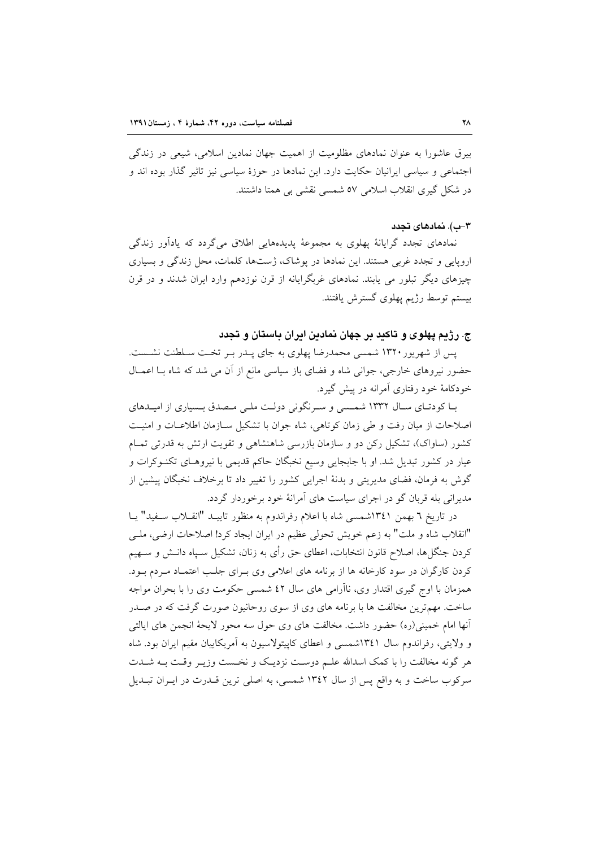بیرق عاشورا به عنوان نمادهای مظلومیت از اهمیت جهان نمادین اسلامی، شیعی در زندگی اجتماعی و سیاسی ایرانیان حکایت دارد. این نمادها در حوزهٔ سیاسی نیز تاثیر گذار بوده اند و در شکل گیری انقلاب اسلامی ٥٧ شمسی نقشی بی همتا داشتند.

## ۳–ب). نمادهای تجدد

نمادهای تجدد گرایانهٔ پهلوی به مجموعهٔ پدیدههایی اطلاق میگردد که یادآور زندگی اروپایی و تجدد غربی هستند. این نمادها در پوشاک، ژستها، کلمات، محل زندگی و بسیاری چیزهای دیگر تبلور می یابند. نمادهای غربگرایانه از قرن نوزدهم وارد ایران شدند و در قرن بيستم توسط رژيم يهلوي گسترش يافتند.

# ج. رژیم پهلوی و تاکید بر جهان نمادین ایران باستان و تجدد

پس از شهرپور ۱۳۲۰ شمسی محمدرضا پهلوی به جای پـدر بـر تخـت سـلطنت نشـست. حضور نیروهای خارجی، جوانی شاه و فضای باز سیاسی مانع از آن می شد که شاه بـا اعمــال خودکامهٔ خود رفتاری آمرانه در پیش گیرد.

بـا کودتـای سـال ۱۳۳۲ شمـسی و سـرنگونی دولـت ملـی مـصدق بـسیاری از امیـدهای اصلاحات از میان رفت و طی زمان کوتاهی، شاه جوان با تشکیل سـازمان اطلاعـات و امنیـت کشور (ساواک)، تشکیل رکن دو و سازمان بازرسی شاهنشاهی و تقویت ارتش به قدرتی تمـام عیار در کشور تبدیل شد. او با جابجایی وسیع نخبگان حاکم قدیمی با نیروهـای تکنـوکرات و گوش به فرمان، فضای مدیریتی و بدنهٔ اجرایی کشور را تغییر داد تا برخلاف نخبگان پیشین از مدیرانی بله قربان گو در اجرای سیاست های آمرانهٔ خود برخوردار گردد.

در تاريخ ٦ بهمن ١٣٤١شمسي شاه با اعلام رفراندوم به منظور تاييـد "انقـلاب سـفيد" يـا "انقلاب شاه و ملت" به زعم خویش تحولی عظیم در ایران ایجاد کرد! اصلاحات ارضی، ملبی کردن جنگلها، اصلاح قانون انتخابات، اعطای حق رأی به زنان، تشکیل سـیاه دانــش و ســهیم کردن کارگران در سود کارخانه ها از برنامه های اعلامی وی بـرای جلـب اعتمـاد مـردم بـود. همزمان با اوج گیری اقتدار وی، ناآرامی های سال ٤٢ شمسی حکومت وی را با بحران مواجه ساخت. مهم ترین مخالفت ها با برنامه های وی از سوی روحانیون صورت گرفت که در صـدر آنها امام خمینی(ره) حضور داشت. مخالفت های وی حول سه محور لایحهٔ انجمن های ایالتی و ولایتی، رفراندوم سال ۱۳٤۱شمسی و اعطای کاپیتولاسیون به آمریکاییان مقیم ایران بود. شاه هر گونه مخالفت را با کمک اسدالله علـم دوسـت نزدیـک و نخـست وزیـر وقـت بـه شــدت سرکوب ساخت و به واقع پس از سال ۱۳٤۲ شمسی، به اصلی ترین قــدرت در ایــران تبــدیل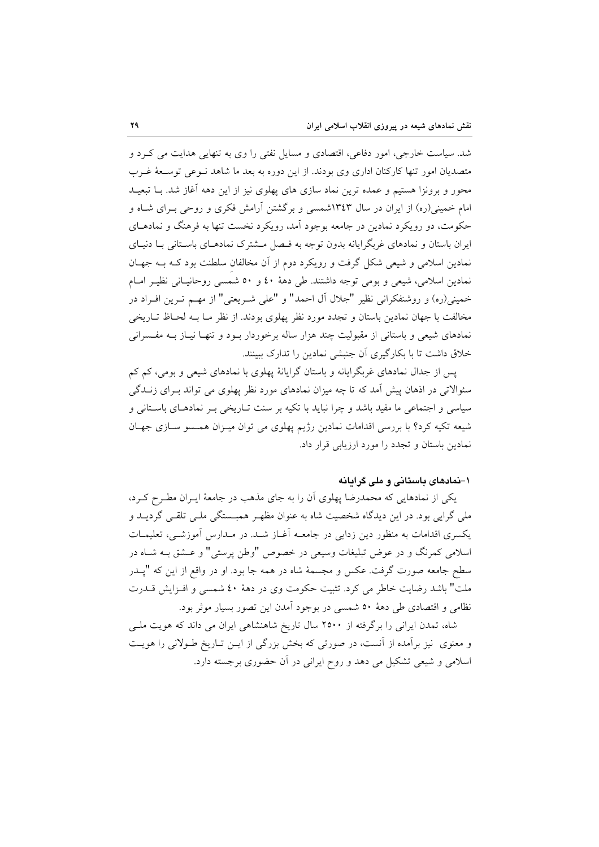شد. سیاست خارجی، امور دفاعی، اقتصادی و مسایل نفتی را وی به تنهایی هدایت می کرد و متصدیان امور تنها کارکنان اداری وی بودند. از این دوره به بعد ما شاهد نـوعی توسـعهٔ غـرب محور و برونزا هستیم و عمده ترین نماد سازی های پهلوی نیز از این دهه آغاز شد. بـا تبعیــد امام خمینی(ره) از ایران در سال ۱۳٤۳شمسی و برگشتن آرامش فکری و روحی بـرای شــاه و حکومت، دو رویکرد نمادین در جامعه بوجود آمد، رویکرد نخست تنها به فرهنگ و نمادهـای ایران باستان و نمادهای غربگرایانه بدون توجه به فـصل مــشترک نمادهـای باسـتانی بــا دنیــای نمادین اسلامی و شیعی شکل گرفت و رویکرد دوم از آن مخالفان سلطنت بود کـه بـه جهـان نمادین اسلامی، شیعی و بومی توجه داشتند. طی دههٔ ٤٠ و ٥٠ شمسی روحانیـانی نظیـر امـام خمینی(ره) و روشنفکرانی نظیر "جلال آل احمد" و "علی شـریعتی" از مهـم تـرین افـراد در مخالفت با جهان نمادين باستان و تجدد مورد نظر پهلوى بودند. از نظر مـا بـه لحـاظ تـاريخي نمادهای شیعی و باستانی از مقبولیت چند هزار ساله برخوردار بـود و تنهـا نیـاز بــه مفــسرانی خلاق داشت تا با بکارگیری آن جنبشی نمادین را تدارک ببینند.

یس از جدال نمادهای غربگرایانه و باستان گرایانهٔ پهلوی با نمادهای شیعی و بومی، کم کم سئوالاتی در اذهان پیش آمد که تا چه میزان نمادهای مورد نظر پهلوی می تواند بـرای زنــدگی سیاسی و اجتماعی ما مفید باشد و چرا نباید با تکیه بر سنت تـاریخی بـر نمادهـای باسـتانی و شیعه تکیه کرد؟ با بررسی اقدامات نمادین رژیم پهلوی می توان میـزان همـسو سـازی جهـان نمادین باستان و تجدد را مورد ارزیابی قرار داد.

# ۱–نمادهای پاستانی و ملی گرایانه

یکی از نمادهایی که محمدرضا پهلوی آن را به جای مذهب در جامعهٔ ایـران مطـرح کـرد، ملي گرايي بود. در اين ديدگاه شخصيت شاه به عنوان مظهـر همبــستگي ملــي تلقــي گرديــد و یکسری اقدامات به منظور دین زدایی در جامعــه آغــاز شــد. در مــدارس آموزشــی، تعلیمــات اسلامی کمرنگ و در عوض تبلیغات وسیعی در خصوص "وطن پرستی" و عــشق بــه شــاه در سطح جامعه صورت گرفت. عکس و مجسمهٔ شاه در همه جا بود. او در واقع از این که "یــدر ملت" باشد رضایت خاطر می کرد. تثبیت حکومت وی در دههٔ ٤٠ شمسی و افـزایش قــدرت نظامی و اقتصادی طی دههٔ ۵۰ شمسی در بوجود آمدن این تصور بسیار موثر بود.

شاه، تمدن ایرانی را برگرفته از ۲۵۰۰ سال تاریخ شاهنشاهی ایران می داند که هویت ملـی و معنوی نیز برآمده از آنست، در صورتی که بخش بزرگی از ایـن تـاریخ طـولانی را هویـت اسلامی و شیعی تشکیل می دهد و روح ایرانی در آن حضوری برجسته دارد.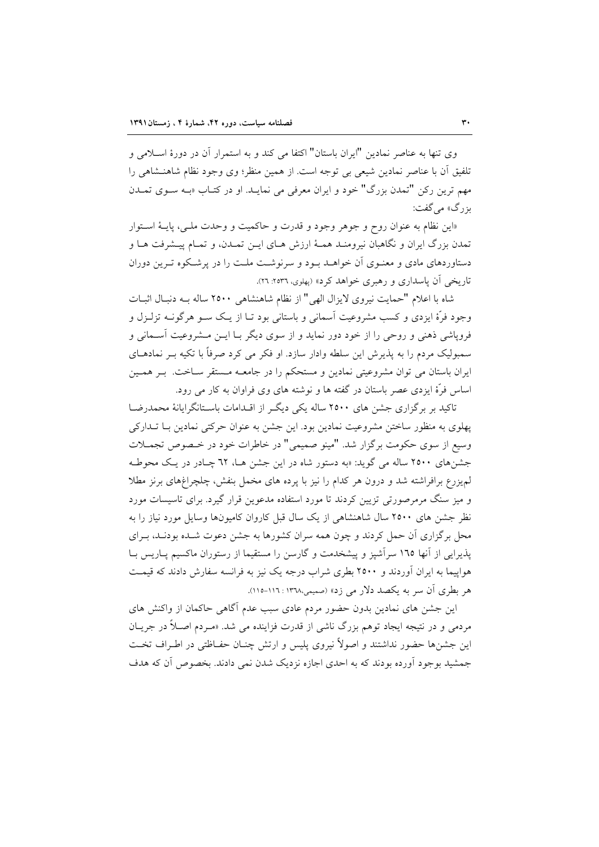وي تنها به عناصر نمادين "ايران باستان" اكتفا مي كند و به استمرار آن در دورهٔ اسـلامي و تلفيق أن با عناصر نمادين شيعي بي توجه است. از همين منظر؛ وي وجود نظام شاهنـشاهي را مهم ترین رکن "تمدن بزرگ" خود و ایران معرفی می نمایـد. او در کتـاب «بــه ســوی تمــدن بزرگ» مے گفت:

«این نظام به عنوان روح و جوهر وجود و قدرت و حاکمیت و وحدت ملـی، پایــهٔ اســتوار تمدن بزرگ ایران و نگاهبان نیرومنـد همـهٔ ارزش هـای ایـن تمـدن، و تمـام پیـشرفت هـا و دستاوردهای مادی و معنـوی آن خواهـد بـود و سرنوشـت ملـت را در پرشـکوه تـرین دوران تاریخی آن پاسداری و رهبری خواهد کرد» (پهلوی، ۲۵۳۶: ۲۲).

شاه با اعلام "حمايت نيروي لايزال الهي" از نظام شاهنشاهي ٢٥٠٠ ساله بـه دنبـال اثبـات وجود فرَّهٔ ایزدی و کسب مشروعیت آسمانی و باستانی بود تـا از یـک ســو هرگونــه تزلــزل و فرویاشی ذهنی و روحی را از خود دور نماید و از سوی دیگر بـا ایــن مــشروعیت آســمانی و سمبولیک مردم را به پذیرش این سلطه وادار سازد. او فکر می کرد صرفاً با تکیه بـر نمادهــای ایران باستان می توان مشروعیتی نمادین و مستحکم را در جامعـه مـستقر سـاخت. بـر همـین اساس فرّهٔ ایزدی عصر باستان در گفته ها و نوشته های وی فراوان به کار می رود.

تاکید بر برگزاری جشن های ۲۵۰۰ ساله یکی دیگ از اقـدامات باسـتانگرایانهٔ محمدرضــا پهلوی به منظور ساختن مشروعیت نمادین بود. این جشن به عنوان حرکتی نمادین بـا تـدارکی وسيع از سوى حكومت برگزار شد. "مينو صميمي" در خاطرات خود در خـصوص تجمـلات جشنهای ۲۵۰۰ ساله می گوید: «به دستور شاه در این جشن هـا، ٦٢ چـادر در یـک محوطـه لمهیزرع برافراشته شد و درون هر کدام را نیز با پرده های مخمل بنفش، چلچراغهای برنز مطلا و میز سنگ مرمرصورتی تزیین کردند تا مورد استفاده مدعوین قرار گیرد. برای تاسیسات مورد نظر جشن های ۲۵۰۰ سال شاهنشاهی از یک سال قبل کاروان کامیونها وسایل مورد نیاز را به محل برگزاری آن حمل کردند و چون همه سران کشورها به جشن دعوت شـده بودنـد، بـرای پذیرایی از آنها ١٦٥ سرآشپز و پیشخدمت و گارسن را مستقیما از رستوران ماکسیم پـاریس بـا هواییما به ایران آوردند و ۲۵۰۰ بطری شراب درجه یک نیز به فرانسه سفارش دادند که قیمت هر بطری آن سر به یکصد دلار می زد» (صمیمی،۱۳۷۸: ۱۱۶-۱۱۵).

این جشن های نمادین بدون حضور مردم عادی سبب عدم آگاهی حاکمان از واکنش های مردمی و در نتیجه ایجاد توهم بزرگ ناشی از قدرت فزاینده می شد. «مـردم اصـلاً در جریــان این جشنها حضور نداشتند و اصولاً نیروی پلیس و ارتش چنـان حفـاظتی در اطـراف تخـت جمشید بوجود آورده بودند که به احدی اجازه نزدیک شدن نمی دادند. بخصوص آن که هدف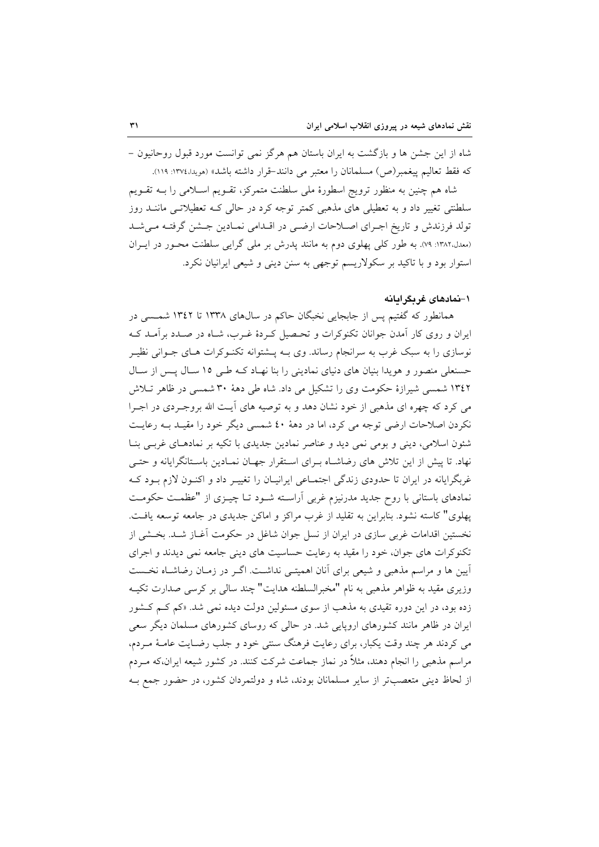شاه از این جشن ها و بازگشت به ایران باستان هم هرگز نمی توانست مورد قبول روحانیون – كه فقط تعاليم پيغمبر(ص) مسلمانان را معتبر مي دانند-قرار داشته باشد» (مويدا،١٣٧٤: ١١٩).

شاه هم چنین به منظور ترویج اسطورهٔ ملی سلطنت متمرکز، تقـویم اسـلامی را بــه تقـویم سلطنتی تغییر داد و به تعطیلی های مذهبی کمتر توجه کرد در حالی کـه تعطیلاتـی ماننــد روز تولد فرزندش و تاریخ اجـرای اصـلاحات ارضـی در اقـدامی نمـادین جـشن گرفتـه مـیشـد (معدل،١٣٨٢: ٧٩). به طور كلي پهلوي دوم به مانند پدرش بر ملي گرايي سلطنت محـور در ايـران استوار بود و با تاکید بر سکولاریسم توجهی به سنن دینی و شیعی ایرانیان نکرد.

## ۱–نمادهای غربگرامانه

همانطور که گفتیم پس از جابجایی نخبگان حاکم در سال های ۱۳۳۸ تا ۱۳٤۲ شمسی در ایران و روی کار آمدن جوانان تکنوکرات و تحـصیل کـردهٔ غـرب، شـاه در صـدد برآمـد کـه نوسازی را به سبک غرب به سرانجام رساند. وی بــه پــشتوانه تکنــوکرات هــای جــوانی نظیــر حسنعلی منصور و هویدا بنیان های دنیای نمادینی را بنا نهـاد کـه طـی ١٥ سـال پـس از سـال ۱۳٤۲ شمسی شیرازهٔ حکومت وی را تشکیل می داد. شاه طی دههٔ ۳۰ شمسی در ظاهر تـلاش می کرد که چهره ای مذهبی از خود نشان دهد و به توصیه های آیت الله بروجـردی در اجـرا نکردن اصلاحات ارضی توجه می کرد، اما در دههٔ ٤٠ شمسی دیگر خود را مقیـد بــه رعایــت شئون اسلامی، دینی و بومی نمی دید و عناصر نمادین جدیدی با تکیه بر نمادهـای غربـی بنـا نهاد. تا پیش از این تلاش های رضاشـاه بـرای اسـتقرار جهـان نمـادین باسـتانگرایانه و حتـی غربگرایانه در ایران تا حدودی زندگی اجتماعی ایرانیـان را تغییـر داد و اکنـون لازم بـود کـه نمادهای باستانی با روح جدید مدرنیزم غربی آراسته شـود تـا چیـزی از "عظمـت حکومـت پهلوی" کاسته نشود. بنابراین به تقلید از غرب مراکز و اماکن جدیدی در جامعه توسعه یافت. نخستین اقدامات غربی سازی در ایران از نسل جوان شاغل در حکومت آغـاز شـد. بخـشی از تکنوکرات های جوان، خود را مقید به رعایت حساسیت های دینی جامعه نمی دیدند و اجرای آیین ها و مراسم مذهبی و شیعی برای آنان اهمیتـی نداشـت. اگـر در زمـان رضاشـاه نخـست وزیری مقید به ظواهر مذهبی به نام "مخبرالسلطنه هدایت" چند سالی بر کرسی صدارت تکیـه زده بود، در این دوره تقیدی به مذهب از سوی مسئولین دولت دیده نمی شد. «کم کـم کـشور ایران در ظاهر مانند کشورهای اروپایی شد. در حالی که روسای کشورهای مسلمان دیگر سعی می کردند هر چند وقت یکبار، برای رعایت فرهنگ سنتی خود و جلب رضـایت عامـهٔ مـردم، مراسم مذهبی را انجام دهند، مثلاً در نماز جماعت شرکت کنند. در کشور شیعه ایران،که مـردم از لحاظ دینی متعصبتر از سایر مسلمانان بودند، شاه و دولتمردان کشور، در حضور جمع بـه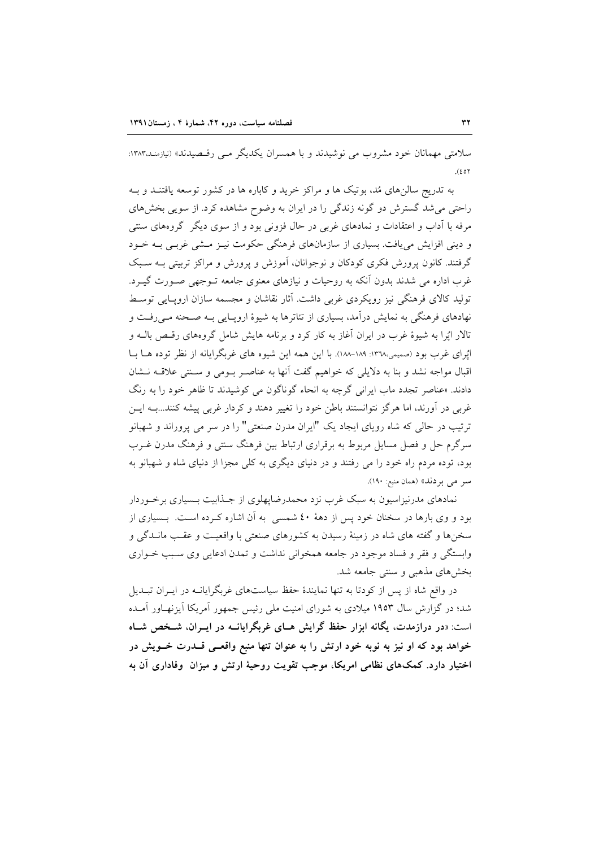سلامتی مهمانان خود مشروب می نوشیدند و با همسران یکدیگر مبی رقـصیدند» (نیازمنـد.۱۳۸۳:  $(201)$ 

به تدریج سالنِهای مُد، بوتیک ها و مراکز خرید و کاباره ها در کشور توسعه یافتنـد و بـه راحتی می شد گسترش دو گونه زندگی را در ایران به وضوح مشاهده کرد. از سویی بخشهای مرفه با آداب و اعتقادات و نمادهای غربی در حال فزونی بود و از سوی دیگر گروههای سنتی و دینی افزایش می یافت. بسیاری از سازمانهای فرهنگی حکومت نیـز مــشی غربـی بــه خــود گرفتند. کانون پرورش فکری کودکان و نوجوانان، آموزش و پرورش و مراکز تربیتی بـه سـبک غرب اداره می شدند بدون آنکه به روحیات و نیازهای معنوی جامعه تـوجهی صـورت گیـرد. تولید کالای فرهنگی نیز رویکردی غربی داشت. آثار نقاشان و مجسمه سازان اروپایی توسط نهادهای فرهنگی به نمایش درآمد، بسیاری از تئاترها به شیوهٔ اروپـایی بـه صـحنه مـی(فـت و تالار ایُرا به شیوهٔ غرب در ایران آغاز به کار کرد و برنامه هایش شامل گروههای رقبص بالـه و اپُرای غرب بود (صمیمی،١٣٦٨-١٨٨-١٨٨). با این همه این شیوه های غربگرایانه از نظر توده هـا بـا اقبال مواجه نشد و بنا به دلایلی که خواهیم گفت آنها به عناصر بومی و سـنتی علاقـه نـشان دادند. «عناصر تجدد ماب ایرانی گرچه به انحاء گوناگون می کوشیدند تا ظاهر خود را به رنگ غربی در آورند، اما هرگز نتوانستند باطن خود را تغییر دهند و کردار غربی پیشه کنند...بـه ایــن ترتیب در حالی که شاه رویای ایجاد یک "ایران مدرن صنعتی" را در سر می پروراند و شهبانو سرگرم حل و فصل مسایل مربوط به برقراری ارتباط بین فرهنگ سنتی و فرهنگ مدرن غـرب بود، توده مردم راه خود را می رفتند و در دنیای دیگری به کلی مجزا از دنیای شاه و شهبانو به سر می بردند» (همان منبع: ۱۹۰).

نمادهای مدرنیزاسیون به سبک غرب نزد محمدرضاپهلوی از جـذابیت بــسیاری برخــوردار بود و وی بارها در سخنان خود پس از دههٔ ٤٠ شمسی به آن اشاره کـرده اسـت. بـسیاری از سخزها و گفته های شاه در زمینهٔ رسیدن به کشورهای صنعتی با واقعیت و عقب مانــدگی و وابستگی و فقر و فساد موجود در جامعه همخوانی نداشت و تمدن ادعایی وی سـبب خـواری بخش های مذهبی و سنتی جامعه شد.

در واقع شاه از پس از کودتا به تنها نمایندهٔ حفظ سیاستهای غربگرایانـه در ایـران تبـلـیا شد؛ در گزارش سال ۱۹۵۳ میلادی به شورای امنیت ملی رئیس جمهور آمریکا آیزنهـاور آمـده است: «در درازمدت، یگانه ابزار حفظ گرایش هـای غربگرایانــه در ایــران، شــخص شــاه خواهد بود که او نیز به نوبه خود ارتش را به عنوان تنها منبع واقعــی قــدرت خــویش در اختیار دارد. کمکهای نظامی امریکا، موجب تقویت روحیهٔ ارتش و میزان ًوفاداری آن به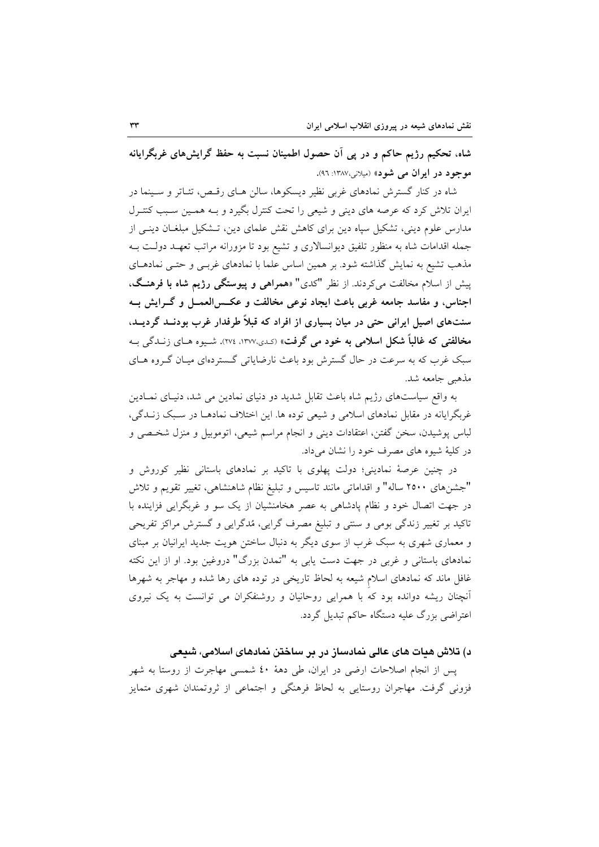شاه، تحکیم رژیم حاکم و در پی آن حصول اطمینان نسبت به حفظ گرایشهای غربگرایانه موجود در ايران مي شود» (ميلاني،١٣٨٧: ٩٦).

شاه در کنار گسترش نمادهای غربی نظیر دیسکوها، سالن هـای رقـص، تئـاتر و سـینما در ایران تلاش کرد که عرصه های دینی و شیعی را تحت کنترل بگیرد و بـه همـین سـبب کنتـرل مدارس علوم دینی، تشکیل سیاه دین برای کاهش نقش علمای دین، تـشکیل مبلغـان دینـی از جمله اقدامات شاه به منظور تلفیق دیوانسالاری و تشیع بود تا مزورانه مراتب تعهـد دولـت بـه مذهب تشیع به نمایش گذاشته شود. بر همین اساس علما با نمادهای غربـی و حتـی نمادهـای پیش از اسلام مخالفت می کردند. از نظر "کدی" «همراهی و پیوستگی رژیم شاه با فرهنگ، اجناس، و مفاسد جامعه غربي باعث ايجاد نوعي مخالفت و عكــس|لعمــل و گــرايش بــه سنتهای اصیل ایرانی حتی در میان بسیاری از افراد که قبلاً طرفدار غرب بودنــد گردیــد. مخالفتي كه غالباً شكل اسلامي به خود مي گرفت» (كدي،١٣٧٧، ٢٧٤). شيوه هـاي زنــدگي بــه سبک غرب که به سرعت در حال گسترش بود باعث نارضایاتی گـستردهای میـان گـروه هـای مذهبي جامعه شد.

به واقع سیاستهای رژیم شاه باعث تقابل شدید دو دنیای نمادین می شد، دنیـای نمـادین غربگرایانه در مقابل نمادهای اسلامی و شیعی توده ها. این اختلاف نمادهـا در سـبک زنـدگی، لباس پوشیدن، سخن گفتن، اعتقادات دینی و انجام مراسم شیعی، اتوموبیل و منزل شخـصی و در کلیهٔ شیوه های مصرف خود را نشان میداد.

در چنین عرصهٔ نمادینی؛ دولت پهلوی با تاکید بر نمادهای باستانی نظیر کوروش و "جشنهای ۲۵۰۰ ساله" و اقداماتی مانند تاسیس و تبلیغ نظام شاهنشاهی، تغییر تقویم و تلاش در جهت اتصال خود و نظام پادشاهی به عصر هخامنشیان از یک سو و غربگرایی فزاینده با تاکید بر تغییر زندگی بومی و سنتی و تبلیغ مصرف گرایی، مُدگرایی و گسترش مراکز تفریحی و معماری شهری به سبک غرب از سوی دیگر به دنبال ساختن هویت جدید ایرانیان بر مبنای نمادهای باستانی و غربی در جهت دست یابی به "تمدن بزرگ" دروغین بود. او از این نکته غافل ماند که نمادهای اسلام شیعه به لحاظ تاریخی در توده های رها شده و مهاجر به شهرها أنچنان ریشه دوانده بود که با همرایی روحانیان و روشنفکران می توانست به یک نیروی اعتراضی بزرگ علیه دستگاه حاکم تبدیل گردد.

د) تلاش هیات های عالی نمادساز در بر ساختن نمادهای اسلامی، شیعی

پس از انجام اصلاحات ارضی در ایران، طی دههٔ ٤٠ شمسی مهاجرت از روستا به شهر فزونی گرفت. مهاجران روستایی به لحاظ فرهنگی و اجتماعی از ثروتمندان شهری متمایز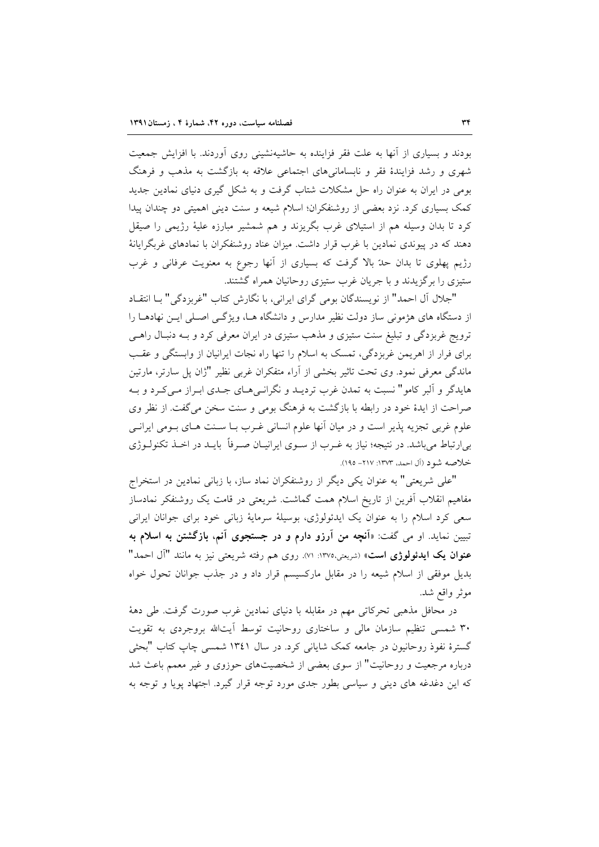بودند و بسیاری از آنها به علت فقر فزاینده به حاشیهنشینی روی آوردند. با افزایش جمعیت شهری و رشد فزایندهٔ فقر و نابسامانی های اجتماعی علاقه به بازگشت به مذهب و فرهنگ بومی در ایران به عنوان راه حل مشکلات شتاب گرفت و به شکل گیری دنیای نمادین جدید کمک بسیاری کرد. نزد بعضی از روشنفکران؛ اسلام شیعه و سنت دینی اهمیتی دو چندان پیدا کرد تا بدان وسیله هم از استیلای غرب بگریزند و هم شمشیر مبارزه علیهٔ رژیمی را صیقل دهند که در پیوندی نمادین با غرب قرار داشت. میزان عناد روشنفکران با نمادهای غربگرایانهٔ رژیم پهلوی تا بدان حدّ بالا گرفت که بسیاری از آنها رجوع به معنویت عرفانی و غرب ستیزی را بر گزیدند و با جریان غرب ستیزی روحانیان همراه گشتند.

"جلال آل احمد" از نویسندگان بومی گرای ایرانی، با نگارش کتاب "غربزدگی" بـا انتقـاد از دستگاه های هژمونی ساز دولت نظیر مدارس و دانشگاه هــا، ویژگــی اصـلی ایــن نهادهــا را ترویج غربزدگی و تبلیغ سنت ستیزی و مذهب ستیزی در ایران معرفی کرد و بـه دنبـال راهـی برای فرار از اهریمن غربزدگی، تمسک به اسلام را تنها راه نجات ایرانیان از وابستگی و عقب ماندگی معرفی نمود. وی تحت تاثیر بخشی از آراء متفکران غربی نظیر "ژان پل سارتر، مارتین هایدگر و آلبر کامو" نسبت به تمدن غرب تردیـد و نگرانـی۵حـای جـدی ابـراز مـیکـرد و بـه صراحت از ایدهٔ خود در رابطه با بازگشت به فرهنگ بومی و سنت سخن می گفت. از نظر وی علوم غربي تجزيه پذير است و در ميان أنها علوم انساني غـرب بــا ســنت هــاي بــومي ايرانــي بی|رتباط میباشد. در نتیجه؛ نیاز به غـرب از سـوی ایرانیـان صـرفاً بایـد در اخـذ تکنولـوژی خلاصه شود (آل احمد، ۱۳۷۳: ۲۱۷– ۱۹۵).

"على شريعتي" به عنوان يكي ديگر از روشنفكران نماد ساز، با زباني نمادين در استخراج مفاهیم انقلاب أفرین از تاریخ اسلام همت گماشت. شریعتی در قامت یک روشنفکر نمادساز سعی کرد اسلام را به عنوان یک ایدئولوژی، بوسیلهٔ سرمایهٔ زبانی خود برای جوانان ایرانی تبیین نماید. او می گفت: «آنچه من آرزو دارم و در جستجوی آنم، بازگشتن به اسلام به عنوان یک ایدئولوژی است» (شریعتی،١٣٧٥: ٧١). روی هم رفته شریعتی نیز به مانند "آل احمد" بدیل موفقی از اسلام شیعه را در مقابل مارکسیسم قرار داد و در جذب جوانان تحول خواه موثر واقع شد.

در محافل مذهبی تحرکاتی مهم در مقابله با دنیای نمادین غرب صورت گرفت. طی دههٔ ۳۰ شمسی تنظیم سازمان مالی و ساختاری روحانیت توسط أیتالله بروجردی به تقویت گسترهٔ نفوذ روحانیون در جامعه کمک شایانی کرد. در سال ۱۳٤۱ شمسی چاپ کتاب "بحثی درباره مرجعیت و روحانیت" از سوی بعضی از شخصیتهای حوزوی و غیر معمم باعث شد که این دغدغه های دینی و سیاسی بطور جدی مورد توجه قرار گیرد. اجتهاد پویا و توجه به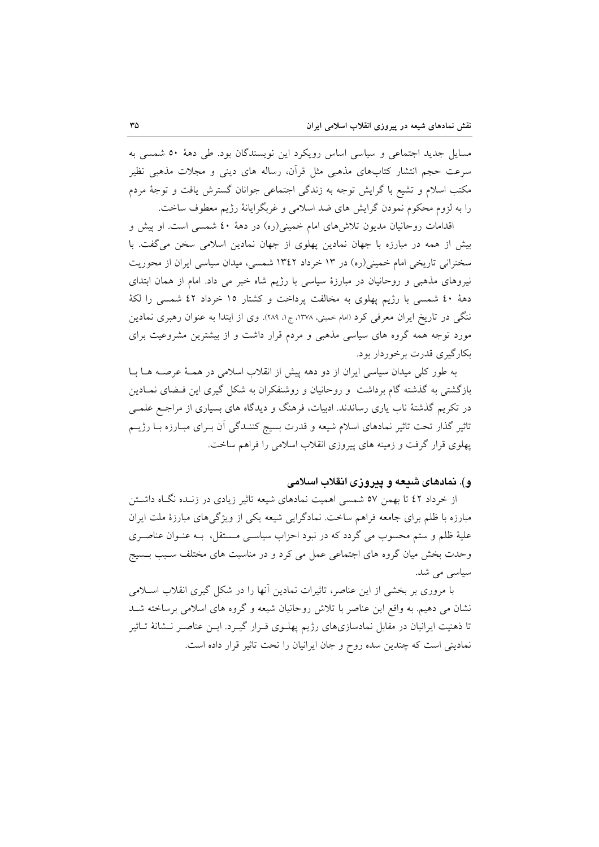مسایل جدید اجتماعی و سیاسی اساس رویکرد این نویسندگان بود. طی دههٔ ۵۰ شمسی به سرعت حجم انتشار کتابهای مذهبی مثل قرآن، رساله های دینی و مجلات مذهبی نظیر مکتب اسلام و تشیع با گرایش توجه به زندگی اجتماعی جوانان گسترش یافت و توجهٔ مردم را به لزوم محکوم نمودن گرایش های ضد اسلامی و غربگرایانهٔ رژیم معطوف ساخت.

اقدامات روحانیان مدیون تلاش های امام خمینی(ره) در دههٔ ٤٠ شمسی است. او پیش و بیش از همه در مبارزه با جهان نمادین پهلوی از جهان نمادین اسلامی سخن میگفت. با سخنرانی تاریخی امام خمینی(ره) در ۱۳ خرداد ۱۳٤۲ شمسی، میدان سیاسی ایران از محوریت نیروهای مذهبی و روحانیان در مبارزهٔ سیاسی با رژیم شاه خبر می داد. امام از همان ابتدای دههٔ ٤٠ شمسی با رژیم پهلوی به مخالفت پرداخت و کشتار ١٥ خرداد ٤٢ شمسی را لکهٔ ننگی در تاریخ ایران معرفی کرد (امام خمینی، ۱۳۷۸، ج۱، ۲۸۹). وی از ابتدا به عنوان رهبری نمادین مورد توجه همه گروه های سیاسی مذهبی و مردم قرار داشت و از بیشترین مشروعیت برای بکارگیری قدرت برخوردار بود.

به طور کلی میدان سیاسی ایران از دو دهه پیش از انقلاب اسلامی در همـهٔ عرصـه هـا بـا بازگشتی به گذشته گام برداشت و روحانیان و روشنفکران به شکل گیری این فـضای نمـادین در تکریم گذشتهٔ ناب یاری رساندند. ادبیات، فرهنگ و دیدگاه های بسیاری از مراجـع علمــی تاثیر گذار تحت تاثیر نمادهای اسلام شیعه و قدرت بسیج کننـدگی آن بـرای مبـارزه بـا رژیــم پهلوی قرار گرفت و زمینه های پیروزی انقلاب اسلامی را فراهم ساخت.

# و). نمادهای شیعه و پیروزی انقلاب اسلامی

از خرداد ٤٢ تا بهمن ٥٧ شمسی اهمیت نمادهای شیعه تاثیر زیادی در زنـده نگـاه داشــتن مبارزه با ظلم برای جامعه فراهم ساخت. نمادگرایی شیعه یکی از ویژگیهای مبارزهٔ ملت ایران عليهٔ ظلم و ستم محسوب مي گردد كه در نبود احزاب سياسـي مـستقل، بـه عنـوان عناصـري وحدت بخش میان گروه های اجتماعی عمل می کرد و در مناسبت های مختلف سـبب بـسیج سیاسی می شد.

با مروری بر بخشی از این عناصر، تاثیرات نمادین آنها را در شکل گیری انقلاب اسلامی نشان می دهیم. به واقع این عناصر با تلاش روحانیان شیعه و گروه های اسلامی برساخته شـد تا ذهنیت ایرانیان در مقابل نمادسازیهای رژیم پهلـوی قـرار گیـرد. ایـن عناصـر نـشانهٔ تـاثیر نمادینی است که چندین سده روح و جان ایرانیان را تحت تاثیر قرار داده است.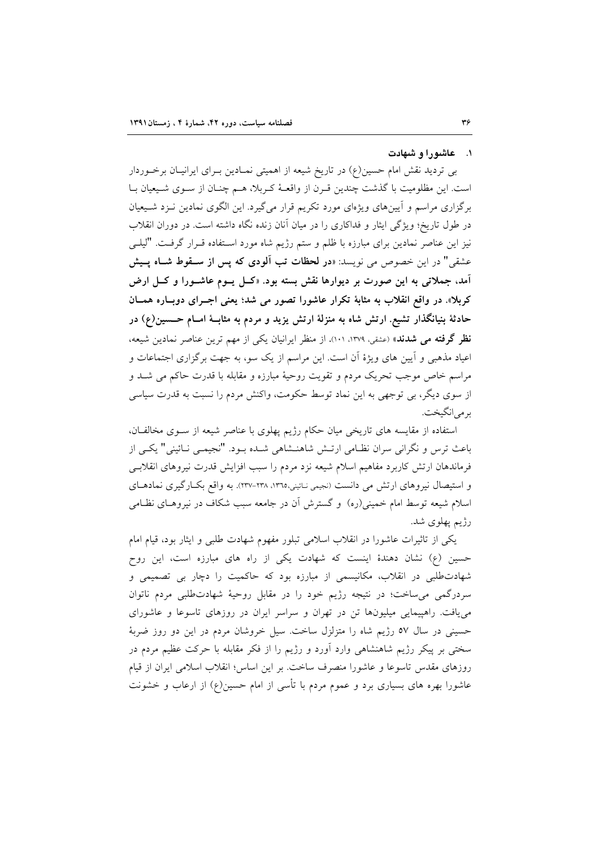## ۰۱ عاشورا و شهادت

بی تردید نقش امام حسین(ع) در تاریخ شیعه از اهمیتی نمـادین بـرای ایرانیـان برخـوردار است. این مظلومیت با گذشت چندین قـرن از واقعـهٔ کـربلا، هـم چنـان از سـوی شـیعیان بـا برگزاری مراسم و آیینهای ویژهای مورد تکریم قرار میگیرد. این الگوی نمادین نـزد شـیعیان در طول تاریخ؛ ویژگی ایثار و فداکاری را در میان آنان زنده نگاه داشته است. در دوران انقلاب نیز این عناصر نمادین برای مبارزه با ظلم و ستم رژیم شاه مورد اسـتفاده قــرار گرفــت. "لیلــی عشقی" در این خصوص می نویسد: «**در لحظات تب آلودی که پس از سـقوط شـاه پـیش** آمد، جملاتی به این صورت بر دیوارها نقش بسته بود. «کــل پــوم عاشــورا و کــل ارض کربلا». در واقع انقلاب به مثابهٔ تکرار عاشورا تصور می شد؛ یعنی اجـرای دوبـاره همــان حادثهٔ بنیانگذار تشیع ارتش شاه به منزلهٔ ارتش یزید و مردم به مثابـهٔ امــام حــسین(ع) در نظر گرفته می شدند» (عشقی، ۱۳۷۹، ۱۰۱). از منظر ایرانیان یکی از مهم ترین عناصر نمادین شیعه، اعیاد مذهبی و آیین های ویژهٔ آن است. این مراسم از یک سو، به جهت برگزاری اجتماعات و مراسم خاص موجب تحریک مردم و تقویت روحیهٔ مبارزه و مقابله با قدرت حاکم می شـد و از سوی دیگر، بی توجهی به این نماد توسط حکومت، واکنش مردم را نسبت به قدرت سیاسی بر مي انگيخت.

استفاده از مقایسه های تاریخی میان حکام رژیم پهلوی با عناصر شیعه از سوی مخالفان، باعث ترس و نگرانی سران نظـامی ارتـش شاهنــشاهی شــده بــود. "نجیمــی نــائینی" یکــی از فرماندهان ارتش كاربرد مفاهيم اسلام شيعه نزد مردم را سبب افزايش قدرت نيروهاى انقلابـى و استیصال نیروهای ارتش می دانست (نجیمی نائینی،١٣٦٥، ٢٣٨-٢٣٧). به واقع بکبارگیری نمادهای اسلام شیعه توسط امام خمینی(ره) و گسترش آن در جامعه سبب شکاف در نیروهـای نظـامی رژیم پهلوی شد.

یکی از تاثیرات عاشورا در انقلاب اسلامی تبلور مفهوم شهادت طلبی و ایثار بود، قیام امام حسین (ع) نشان دهندهٔ اینست که شهادت یکی از راه های مبارزه است، این روح شهادتطلبی در انقلاب، مکانیسمی از مبارزه بود که حاکمیت را دچار بی تصمیمی و سردرگمی می ساخت؛ در نتیجه رژیم خود را در مقابل روحیهٔ شهادتطلبی مردم ناتوان می یافت. راهپیمایی میلیونها تن در تهران و سراسر ایران در روزهای تاسوعا و عاشورای حسینی در سال ٥٧ رژیم شاه را متزلزل ساخت. سیل خروشان مردم در این دو روز ضربهٔ سختی بر پیکر رژیم شاهنشاهی وارد آورد و رژیم را از فکر مقابله با حرکت عظیم مردم در روزهای مقدس تاسوعا و عاشورا منصرف ساخت. بر این اساس؛ انقلاب اسلامی ایران از قیام عاشورا بهره های بسیاری برد و عموم مردم با تأسی از امام حسین(ع) از ارعاب و خشونت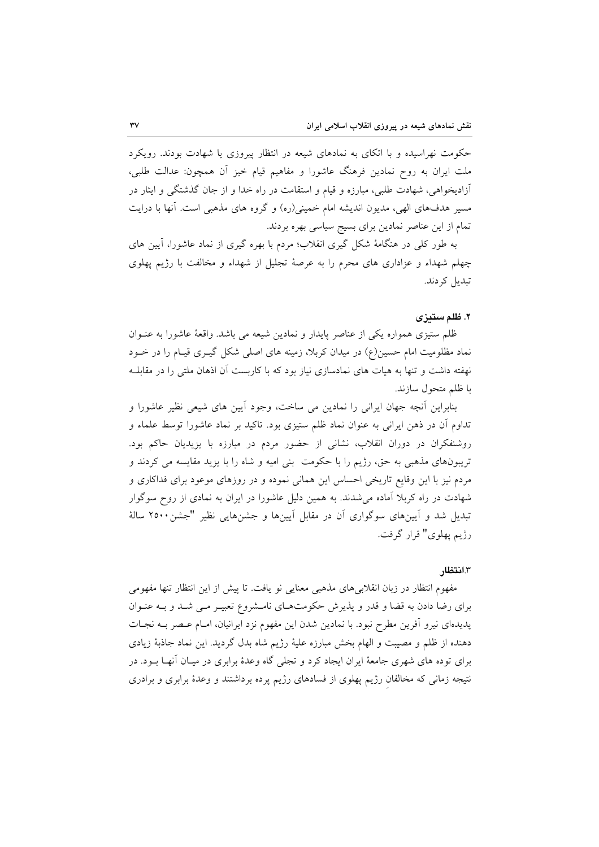حکومت نهراسیده و با اتکای به نمادهای شیعه در انتظار پیروزی یا شهادت بودند. رویکرد ملت ايران به روح نمادين فرهنگ عاشورا و مفاهيم قيام خيز اَن همچون: عدالت طلبي، أزادیخواهی، شهادت طلبی، مبارزه و قیام و استقامت در راه خدا و از جان گذشتگی و ایثار در مسیر هدفهای الهی، مدیون اندیشه امام خمینی(ره) و گروه های مذهبی است. آنها با درایت تمام از این عناصر نمادین برای بسیج سیاسی بهره بردند.

به طور کلی در هنگامهٔ شکل گیری انقلاب؛ مردم با بهره گیری از نماد عاشورا، آیین های چهلم شهداء و عزاداری های محرم را به عرصهٔ تجلیل از شهداء و مخالفت با رژیم پهلوی تبدیل کردند.

## ٢. ظلم ستدزى

ظلم ستیزی همواره یکی از عناصر پایدار و نمادین شیعه می باشد. واقعهٔ عاشورا به عنــوان نماد مظلومیت امام حسین(ع) در میدان کربلا، زمینه های اصلی شکل گیـری قیـام را در خــود نهفته داشت و تنها به هیات های نمادسازی نیاز بود که با کاربست آن اذهان ملتی را در مقابلـه با ظلم متحول سازند.

بنابراین اّنچه جهان ایرانی را نمادین می ساخت، وجود اّیین های شیعی نظیر عاشورا و تداوم أن در ذهن ايراني به عنوان نماد ظلم ستيزي بود. تاكيد بر نماد عاشورا توسط علماء و روشنفکران در دوران انقلاب، نشانی از حضور مردم در مبارزه با یزیدیان حاکم بود. تریبونهای مذهبی به حق، رژیم را با حکومت بنی امیه و شاه را با یزید مقایسه می کردند و مردم نیز با این وقایع تاریخی احساس این همانی نموده و در روزهای موعود برای فداکاری و شهادت در راه کربلا آماده میشدند. به همین دلیل عاشورا در ایران به نمادی از روح سوگوار تبدیل شد و آیینهای سوگواری آن در مقابل آیینها و جشنهایی نظیر "جشن۲۵۰۰ سالهٔ رژيم پهلوي" قرار گرفت.

## ٣.انتظا,

مفهوم انتظار در زبان انقلابی های مذهبی معنایی نو یافت. تا پیش از این انتظار تنها مفهومی برای رضا دادن به قضا و قدر و پذیرش حکومتهـای نامـشروع تعبیـر مـی شـد و بــه عنـوان پدیدهای نیرو آفرین مطرح نبود. با نمادین شدن این مفهوم نزد ایرانیان، امـام عـصر بــه نجـات دهنده از ظلم و مصیبت و الهام بخش مبارزه علیهٔ رژیم شاه بدل گردید. این نماد جاذبهٔ زیادی برای توده های شهری جامعهٔ ایران ایجاد کرد و تجلی گاه وعدهٔ برابری در میـان آنهـا بــود. در نتیجه زمانی که مخالفان رژیم پهلوی از فسادهای رژیم پرده برداشتند و وعدهٔ برابری و برادری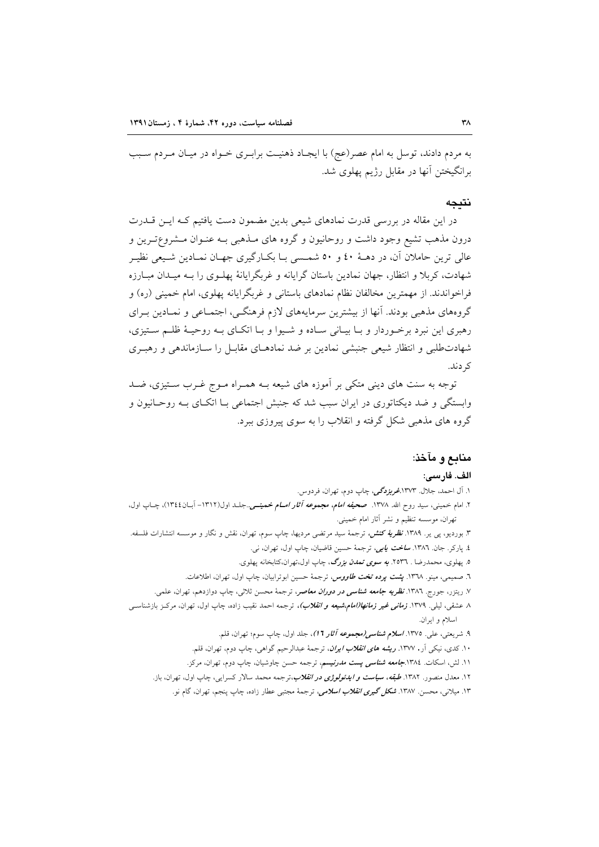به مردم دادند، توسل به امام عصر(عج) با ایجـاد ذهنیـت برابـری خـواه در میـان مـردم سـبب برانگیختن آنها در مقابل رژیم پهلوی شد.

## نتىجە

در این مقاله در بررسی قدرت نمادهای شیعی بدین مضمون دست یافتیم کـه ایـن قــدرت درون مذهب تشیع وجود داشت و روحانیون و گروه های مـذهبی بـه عنـوان مـشروع=تـرین و عالی ترین حاملان آن، در دهـهٔ ٤٠ و ٥٠ شمـسی بـا بکــارگیری جهــان نمــادین شــیعی نظیــر شهادت، کربلا و انتظار، جهان نمادین باستان گرایانه و غربگرایانهٔ پهلـوی را بـه میـدان مبـارزه فراخواندند. از مهمترین مخالفان نظام نمادهای باستانی و غربگرایانه پهلوی، امام خمینی (ره) و گروههای مذهبی بودند. آنها از بیشترین سرمایههای لازم فرهنگـی، اجتمـاعی و نمـادین بـرای رهبري اين نبرد برخـوردار و بـا بيـاني سـاده و شـيوا و بـا اتكـاي بـه روحيـهٔ ظلـم سـتيزي، شهادتطلبی و انتظار شیعی جنبشی نمادین بر ضد نمادهـای مقابـل را سـازماندهی و رهبـری کړ دند.

توجه به سنت های دینی متکی بر آموزه های شیعه بــه همــراه مــوِج غــرب ســتیزی، ضــد وابستگی و ضد دیکتاتوری در ایران سبب شد که جنبش اجتماعی بــا اتکــای بــه روحــانیون و گروه های مذهبی شکل گرفته و انقلاب را به سوی پیروزی ببرد.

## منابع و مآخذ:

#### الف. فارسى:

۱. آل احمد، جلال. ۱۳۷۳.*غربزدگی،* چاپ دوم، تهران، فردوس.

۲. امام خممینی، سید روح الله. ۱۳۷۸. صح*یفه امام، مجموعه آثار امــام خ*ممی*نــی.*.جلــد اول(۱۳۱۲– اَبــان۱۳٤٤)، چــاپ اول، تهران، موسسه تنظیم و نشر آثار امام خمینی.

۳. بوردیو، پی یر. ۱۳۸۹. *نظریهٔ کنش،* ترجمهٔ سید مرتضی مردیها، چاپ سوم، تهران، نقش و نگار و موسسه انتشارات فلسفه. ٤. پارکر. جان. ١٣٨٦. **س***اخت يابي،* ترجمهٔ حسين قاضيان، چاپ اول، تهران، نبي.

٥. پهلوي، محمدرضا . ٢٥٣٦. *به سوي تمدن بزرگ*، چاپ اول،تهران،کتابخانه پهلوي.

٦. صميمي، مينو. ١٣٦٨. <mark>پ*شت پرده تخت طاووس،* تر</mark>جمهٔ حسين ابوترابيان، چاپ اول، تهران، اطلاعات.

۷. رینزر، جورج. ۱۳۸<mark>۲. *نظریه جامعه شناسی در دوران معاص*ر،</mark> ترجمهٔ محسن ثلاثی، چاپ دوازدهم، تهران، علمی.

۸ عشقی، لیلی. ۱۳۷۹*. <mark>زمانی غیر زمانها(امام،شیعه و انقلاب</mark>)،* ترجمه احمد نقیب زاده، چاپ اول، تهران، مرکـز بازشناسـی اسلام و ايران.

۹. شریعتی، علی. ۱۳۷۵. *اسلام شناسی(مجموعه آثار ۱*۲)، جلد اول، چاپ سوم؛ تهران، قلم.

۱۰. کدی، نیکی اَر. ۱۳۷۷. *ریشه های انقلاب ایران*، ترجمهٔ عبدالرحیم گواهی، چاپ دوم، تهران، قلم.

۱۱. لش، اسکات. ۱۳۸٤.**جامعه** *شناسی پست مدرنیسم،* ترجمه حسن چاوشیان، چاپ دوم، تهران، مرکز.

۱۲. معدل منصور. ۱۳۸۲. *طبقه، <mark>سیاست و ایدئولوژی در انقلاب</mark>،تر*جمه محمد سالار کسرایی، چاپ اول، تهران، باز.

۱۳. میلانی، محسن. ۱۳۸۷. *شکل گیری انقلاب اسلامی*، ترجمهٔ مجتبی عطار زاده، چاپ ینجم، تهران، گام نو.